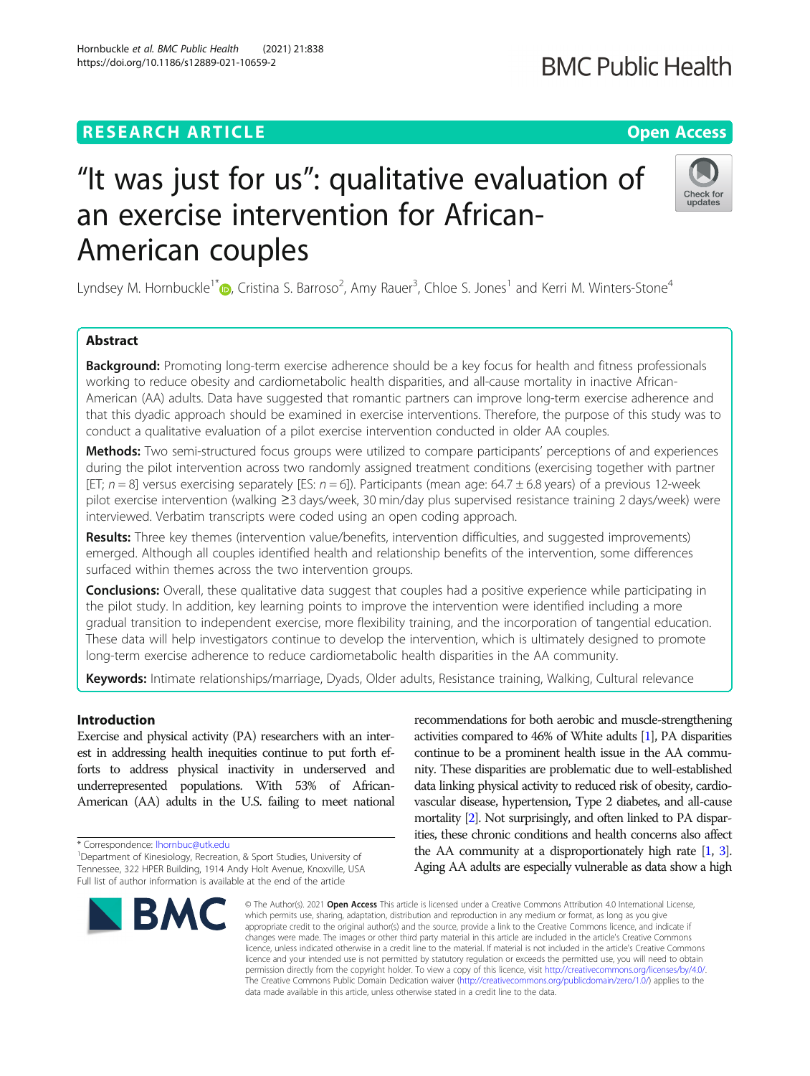# **RESEARCH ARTICLE Example 2014 12:30 The Contract of Contract ACCESS**

# "It was just for us": qualitative evaluation of an exercise intervention for African-American couples

Lyndsey M. Hornbuckle<sup>1[\\*](http://orcid.org/0000-0003-0217-3004)</sup> (**)**, Cristina S. Barroso<sup>2</sup>, Amy Rauer<sup>3</sup>, Chloe S. Jones<sup>1</sup> and Kerri M. Winters-Stone<sup>4</sup>

# Abstract

Background: Promoting long-term exercise adherence should be a key focus for health and fitness professionals working to reduce obesity and cardiometabolic health disparities, and all-cause mortality in inactive African-American (AA) adults. Data have suggested that romantic partners can improve long-term exercise adherence and that this dyadic approach should be examined in exercise interventions. Therefore, the purpose of this study was to conduct a qualitative evaluation of a pilot exercise intervention conducted in older AA couples.

Methods: Two semi-structured focus groups were utilized to compare participants' perceptions of and experiences during the pilot intervention across two randomly assigned treatment conditions (exercising together with partner [ET;  $n = 8$ ] versus exercising separately [ES:  $n = 6$ ]). Participants (mean age: 64.7 ± 6.8 years) of a previous 12-week pilot exercise intervention (walking ≥3 days/week, 30 min/day plus supervised resistance training 2 days/week) were interviewed. Verbatim transcripts were coded using an open coding approach.

Results: Three key themes (intervention value/benefits, intervention difficulties, and suggested improvements) emerged. Although all couples identified health and relationship benefits of the intervention, some differences surfaced within themes across the two intervention groups.

**Conclusions:** Overall, these qualitative data suggest that couples had a positive experience while participating in the pilot study. In addition, key learning points to improve the intervention were identified including a more gradual transition to independent exercise, more flexibility training, and the incorporation of tangential education. These data will help investigators continue to develop the intervention, which is ultimately designed to promote long-term exercise adherence to reduce cardiometabolic health disparities in the AA community.

Keywords: Intimate relationships/marriage, Dyads, Older adults, Resistance training, Walking, Cultural relevance

# Introduction

Exercise and physical activity (PA) researchers with an interest in addressing health inequities continue to put forth efforts to address physical inactivity in underserved and underrepresented populations. With 53% of African-American (AA) adults in the U.S. failing to meet national

\* Correspondence: [lhornbuc@utk.edu](mailto:lhornbuc@utk.edu) <sup>1</sup>

© The Author(s), 2021 **Open Access** This article is licensed under a Creative Commons Attribution 4.0 International License, which permits use, sharing, adaptation, distribution and reproduction in any medium or format, as long as you give appropriate credit to the original author(s) and the source, provide a link to the Creative Commons licence, and indicate if changes were made. The images or other third party material in this article are included in the article's Creative Commons licence, unless indicated otherwise in a credit line to the material. If material is not included in the article's Creative Commons licence and your intended use is not permitted by statutory regulation or exceeds the permitted use, you will need to obtain permission directly from the copyright holder. To view a copy of this licence, visit [http://creativecommons.org/licenses/by/4.0/.](http://creativecommons.org/licenses/by/4.0/) The Creative Commons Public Domain Dedication waiver [\(http://creativecommons.org/publicdomain/zero/1.0/](http://creativecommons.org/publicdomain/zero/1.0/)) applies to the data made available in this article, unless otherwise stated in a credit line to the data.

continue to be a prominent health issue in the AA community. These disparities are problematic due to well-established data linking physical activity to reduced risk of obesity, cardiovascular disease, hypertension, Type 2 diabetes, and all-cause mortality [[2](#page-10-0)]. Not surprisingly, and often linked to PA disparities, these chronic conditions and health concerns also affect the AA community at a disproportionately high rate [\[1](#page-10-0), [3\]](#page-10-0). Aging AA adults are especially vulnerable as data show a high

recommendations for both aerobic and muscle-strengthening activities compared to 46% of White adults [\[1\]](#page-10-0), PA disparities







<sup>&</sup>lt;sup>1</sup>Department of Kinesiology, Recreation, & Sport Studies, University of Tennessee, 322 HPER Building, 1914 Andy Holt Avenue, Knoxville, USA Full list of author information is available at the end of the article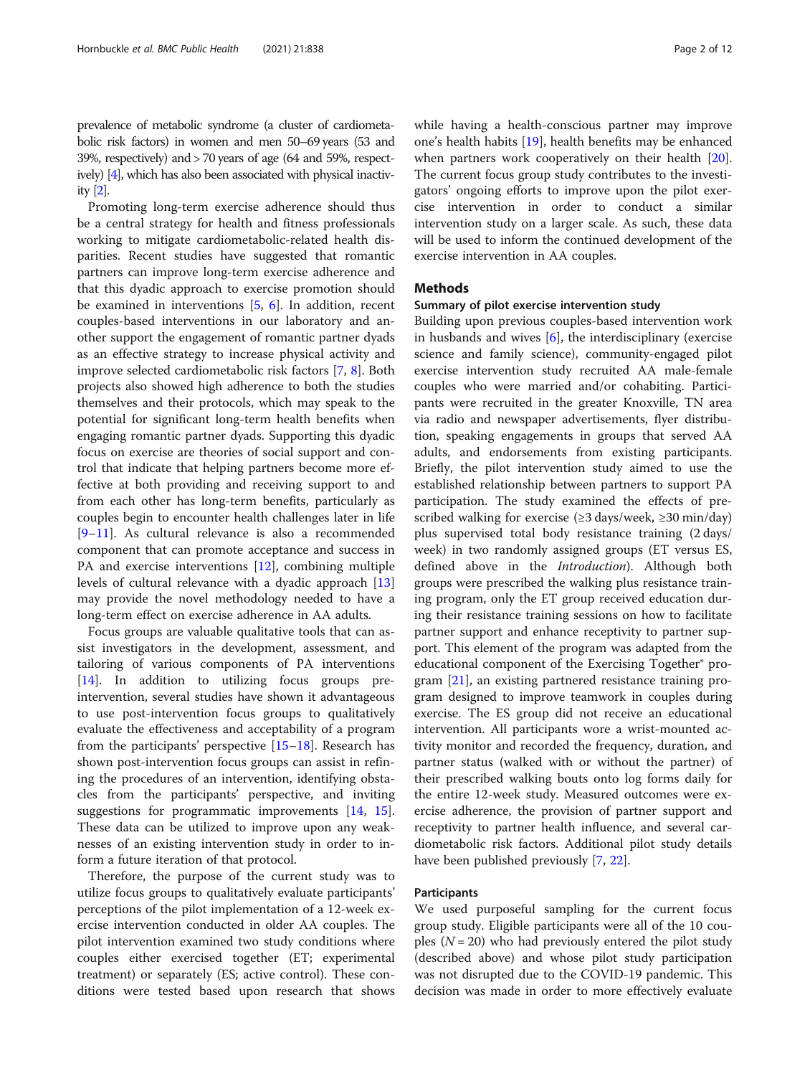prevalence of metabolic syndrome (a cluster of cardiometabolic risk factors) in women and men 50–69 years (53 and 39%, respectively) and > 70 years of age (64 and 59%, respectively) [[4](#page-10-0)], which has also been associated with physical inactivity [\[2\]](#page-10-0).

Promoting long-term exercise adherence should thus be a central strategy for health and fitness professionals working to mitigate cardiometabolic-related health disparities. Recent studies have suggested that romantic partners can improve long-term exercise adherence and that this dyadic approach to exercise promotion should be examined in interventions [[5,](#page-10-0) [6\]](#page-10-0). In addition, recent couples-based interventions in our laboratory and another support the engagement of romantic partner dyads as an effective strategy to increase physical activity and improve selected cardiometabolic risk factors [\[7,](#page-10-0) [8\]](#page-10-0). Both projects also showed high adherence to both the studies themselves and their protocols, which may speak to the potential for significant long-term health benefits when engaging romantic partner dyads. Supporting this dyadic focus on exercise are theories of social support and control that indicate that helping partners become more effective at both providing and receiving support to and from each other has long-term benefits, particularly as couples begin to encounter health challenges later in life [[9](#page-11-0)–[11\]](#page-11-0). As cultural relevance is also a recommended component that can promote acceptance and success in PA and exercise interventions [[12\]](#page-11-0), combining multiple levels of cultural relevance with a dyadic approach [[13](#page-11-0)] may provide the novel methodology needed to have a long-term effect on exercise adherence in AA adults.

Focus groups are valuable qualitative tools that can assist investigators in the development, assessment, and tailoring of various components of PA interventions [[14\]](#page-11-0). In addition to utilizing focus groups preintervention, several studies have shown it advantageous to use post-intervention focus groups to qualitatively evaluate the effectiveness and acceptability of a program from the participants' perspective [[15](#page-11-0)–[18](#page-11-0)]. Research has shown post-intervention focus groups can assist in refining the procedures of an intervention, identifying obstacles from the participants' perspective, and inviting suggestions for programmatic improvements [[14](#page-11-0), [15](#page-11-0)]. These data can be utilized to improve upon any weaknesses of an existing intervention study in order to inform a future iteration of that protocol.

Therefore, the purpose of the current study was to utilize focus groups to qualitatively evaluate participants' perceptions of the pilot implementation of a 12-week exercise intervention conducted in older AA couples. The pilot intervention examined two study conditions where couples either exercised together (ET; experimental treatment) or separately (ES; active control). These conditions were tested based upon research that shows while having a health-conscious partner may improve one's health habits [[19\]](#page-11-0), health benefits may be enhanced when partners work cooperatively on their health [\[20](#page-11-0)]. The current focus group study contributes to the investigators' ongoing efforts to improve upon the pilot exercise intervention in order to conduct a similar intervention study on a larger scale. As such, these data will be used to inform the continued development of the exercise intervention in AA couples.

# Methods

# Summary of pilot exercise intervention study

Building upon previous couples-based intervention work in husbands and wives [\[6](#page-10-0)], the interdisciplinary (exercise science and family science), community-engaged pilot exercise intervention study recruited AA male-female couples who were married and/or cohabiting. Participants were recruited in the greater Knoxville, TN area via radio and newspaper advertisements, flyer distribution, speaking engagements in groups that served AA adults, and endorsements from existing participants. Briefly, the pilot intervention study aimed to use the established relationship between partners to support PA participation. The study examined the effects of prescribed walking for exercise (≥3 days/week, ≥30 min/day) plus supervised total body resistance training (2 days/ week) in two randomly assigned groups (ET versus ES, defined above in the *Introduction*). Although both groups were prescribed the walking plus resistance training program, only the ET group received education during their resistance training sessions on how to facilitate partner support and enhance receptivity to partner support. This element of the program was adapted from the educational component of the Exercising Together® program [\[21](#page-11-0)], an existing partnered resistance training program designed to improve teamwork in couples during exercise. The ES group did not receive an educational intervention. All participants wore a wrist-mounted activity monitor and recorded the frequency, duration, and partner status (walked with or without the partner) of their prescribed walking bouts onto log forms daily for the entire 12-week study. Measured outcomes were exercise adherence, the provision of partner support and receptivity to partner health influence, and several cardiometabolic risk factors. Additional pilot study details have been published previously [[7,](#page-10-0) [22](#page-11-0)].

# Participants

We used purposeful sampling for the current focus group study. Eligible participants were all of the 10 couples ( $N = 20$ ) who had previously entered the pilot study (described above) and whose pilot study participation was not disrupted due to the COVID-19 pandemic. This decision was made in order to more effectively evaluate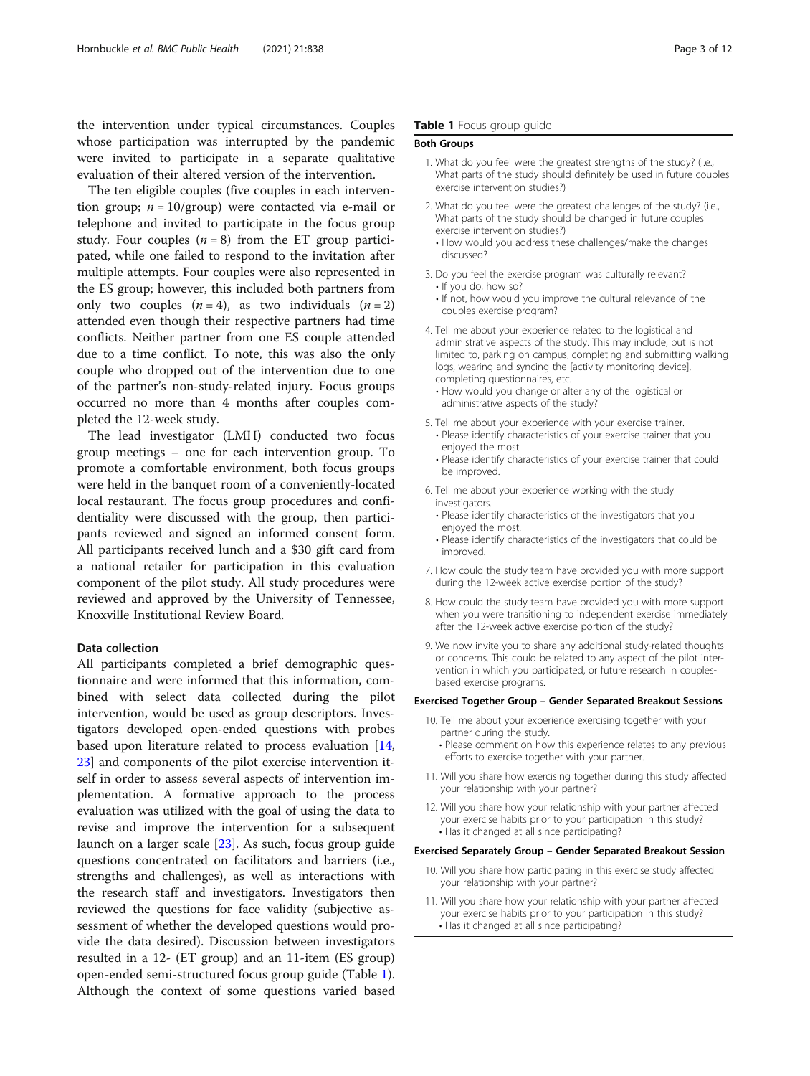the intervention under typical circumstances. Couples whose participation was interrupted by the pandemic were invited to participate in a separate qualitative evaluation of their altered version of the intervention.

The ten eligible couples (five couples in each intervention group;  $n = 10$ /group) were contacted via e-mail or telephone and invited to participate in the focus group study. Four couples  $(n = 8)$  from the ET group participated, while one failed to respond to the invitation after multiple attempts. Four couples were also represented in the ES group; however, this included both partners from only two couples  $(n = 4)$ , as two individuals  $(n = 2)$ attended even though their respective partners had time conflicts. Neither partner from one ES couple attended due to a time conflict. To note, this was also the only couple who dropped out of the intervention due to one of the partner's non-study-related injury. Focus groups occurred no more than 4 months after couples completed the 12-week study.

The lead investigator (LMH) conducted two focus group meetings – one for each intervention group. To promote a comfortable environment, both focus groups were held in the banquet room of a conveniently-located local restaurant. The focus group procedures and confidentiality were discussed with the group, then participants reviewed and signed an informed consent form. All participants received lunch and a \$30 gift card from a national retailer for participation in this evaluation component of the pilot study. All study procedures were reviewed and approved by the University of Tennessee, Knoxville Institutional Review Board.

# Data collection

All participants completed a brief demographic questionnaire and were informed that this information, combined with select data collected during the pilot intervention, would be used as group descriptors. Investigators developed open-ended questions with probes based upon literature related to process evaluation [[14](#page-11-0), [23\]](#page-11-0) and components of the pilot exercise intervention itself in order to assess several aspects of intervention implementation. A formative approach to the process evaluation was utilized with the goal of using the data to revise and improve the intervention for a subsequent launch on a larger scale [[23](#page-11-0)]. As such, focus group guide questions concentrated on facilitators and barriers (i.e., strengths and challenges), as well as interactions with the research staff and investigators. Investigators then reviewed the questions for face validity (subjective assessment of whether the developed questions would provide the data desired). Discussion between investigators resulted in a 12- (ET group) and an 11-item (ES group) open-ended semi-structured focus group guide (Table 1). Although the context of some questions varied based

# Table 1 Focus group guide

## Both Groups

- 1. What do you feel were the greatest strengths of the study? (i.e., What parts of the study should definitely be used in future couples exercise intervention studies?)
- 2. What do you feel were the greatest challenges of the study? (i.e., What parts of the study should be changed in future couples exercise intervention studies?)
	- How would you address these challenges/make the changes discussed?
- 3. Do you feel the exercise program was culturally relevant? • If you do, how so?
	- If not, how would you improve the cultural relevance of the couples exercise program?
- 4. Tell me about your experience related to the logistical and administrative aspects of the study. This may include, but is not limited to, parking on campus, completing and submitting walking logs, wearing and syncing the [activity monitoring device], completing questionnaires, etc.
	- How would you change or alter any of the logistical or administrative aspects of the study?
- 5. Tell me about your experience with your exercise trainer. • Please identify characteristics of your exercise trainer that you enjoyed the most.
	- Please identify characteristics of your exercise trainer that could be improved.
- 6. Tell me about your experience working with the study investigators.
	- Please identify characteristics of the investigators that you enjoyed the most.
	- Please identify characteristics of the investigators that could be improved.
- 7. How could the study team have provided you with more support during the 12-week active exercise portion of the study?
- 8. How could the study team have provided you with more support when you were transitioning to independent exercise immediately after the 12-week active exercise portion of the study?
- 9. We now invite you to share any additional study-related thoughts or concerns. This could be related to any aspect of the pilot intervention in which you participated, or future research in couplesbased exercise programs.

#### Exercised Together Group – Gender Separated Breakout Sessions

- 10. Tell me about your experience exercising together with your partner during the study.
	- Please comment on how this experience relates to any previous efforts to exercise together with your partner.
- 11. Will you share how exercising together during this study affected your relationship with your partner?
- 12. Will you share how your relationship with your partner affected your exercise habits prior to your participation in this study? • Has it changed at all since participating?

#### Exercised Separately Group – Gender Separated Breakout Session

- 10. Will you share how participating in this exercise study affected your relationship with your partner?
- 11. Will you share how your relationship with your partner affected your exercise habits prior to your participation in this study? • Has it changed at all since participating?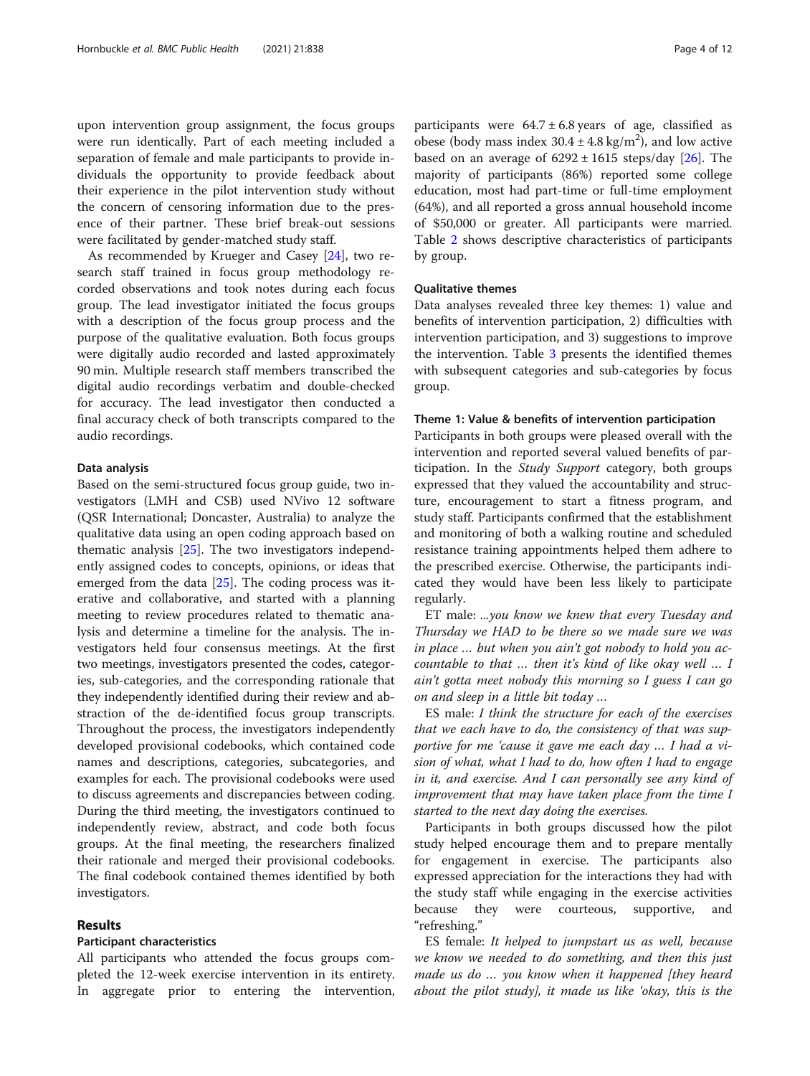upon intervention group assignment, the focus groups were run identically. Part of each meeting included a separation of female and male participants to provide individuals the opportunity to provide feedback about their experience in the pilot intervention study without the concern of censoring information due to the presence of their partner. These brief break-out sessions were facilitated by gender-matched study staff.

As recommended by Krueger and Casey [[24\]](#page-11-0), two research staff trained in focus group methodology recorded observations and took notes during each focus group. The lead investigator initiated the focus groups with a description of the focus group process and the purpose of the qualitative evaluation. Both focus groups were digitally audio recorded and lasted approximately 90 min. Multiple research staff members transcribed the digital audio recordings verbatim and double-checked for accuracy. The lead investigator then conducted a final accuracy check of both transcripts compared to the audio recordings.

#### Data analysis

Based on the semi-structured focus group guide, two investigators (LMH and CSB) used NVivo 12 software (QSR International; Doncaster, Australia) to analyze the qualitative data using an open coding approach based on thematic analysis [[25\]](#page-11-0). The two investigators independently assigned codes to concepts, opinions, or ideas that emerged from the data [\[25\]](#page-11-0). The coding process was iterative and collaborative, and started with a planning meeting to review procedures related to thematic analysis and determine a timeline for the analysis. The investigators held four consensus meetings. At the first two meetings, investigators presented the codes, categories, sub-categories, and the corresponding rationale that they independently identified during their review and abstraction of the de-identified focus group transcripts. Throughout the process, the investigators independently developed provisional codebooks, which contained code names and descriptions, categories, subcategories, and examples for each. The provisional codebooks were used to discuss agreements and discrepancies between coding. During the third meeting, the investigators continued to independently review, abstract, and code both focus groups. At the final meeting, the researchers finalized their rationale and merged their provisional codebooks. The final codebook contained themes identified by both investigators.

# Results

# Participant characteristics

All participants who attended the focus groups completed the 12-week exercise intervention in its entirety. In aggregate prior to entering the intervention, participants were  $64.7 \pm 6.8$  years of age, classified as obese (body mass index  $30.4 \pm 4.8 \text{ kg/m}^2$ ), and low active based on an average of  $6292 \pm 1615$  steps/day [\[26](#page-11-0)]. The majority of participants (86%) reported some college education, most had part-time or full-time employment (64%), and all reported a gross annual household income of \$50,000 or greater. All participants were married. Table [2](#page-4-0) shows descriptive characteristics of participants by group.

# Qualitative themes

Data analyses revealed three key themes: 1) value and benefits of intervention participation, 2) difficulties with intervention participation, and 3) suggestions to improve the intervention. Table [3](#page-5-0) presents the identified themes with subsequent categories and sub-categories by focus group.

#### Theme 1: Value & benefits of intervention participation

Participants in both groups were pleased overall with the intervention and reported several valued benefits of participation. In the Study Support category, both groups expressed that they valued the accountability and structure, encouragement to start a fitness program, and study staff. Participants confirmed that the establishment and monitoring of both a walking routine and scheduled resistance training appointments helped them adhere to the prescribed exercise. Otherwise, the participants indicated they would have been less likely to participate regularly.

ET male: ...you know we knew that every Tuesday and Thursday we HAD to be there so we made sure we was in place … but when you ain't got nobody to hold you accountable to that … then it's kind of like okay well … I ain't gotta meet nobody this morning so I guess I can go on and sleep in a little bit today …

ES male: I think the structure for each of the exercises that we each have to do, the consistency of that was supportive for me 'cause it gave me each day … I had a vision of what, what I had to do, how often I had to engage in it, and exercise. And I can personally see any kind of improvement that may have taken place from the time I started to the next day doing the exercises.

Participants in both groups discussed how the pilot study helped encourage them and to prepare mentally for engagement in exercise. The participants also expressed appreciation for the interactions they had with the study staff while engaging in the exercise activities because they were courteous, supportive, and "refreshing."

ES female: It helped to jumpstart us as well, because we know we needed to do something, and then this just made us do … you know when it happened [they heard about the pilot study], it made us like 'okay, this is the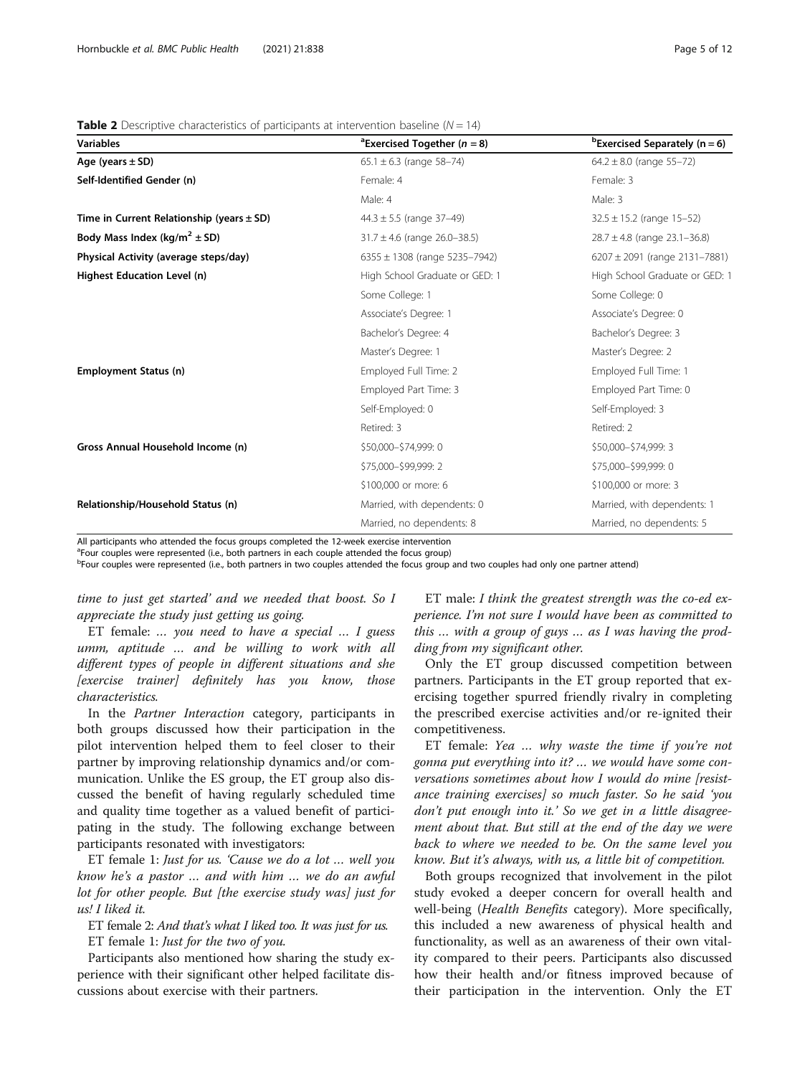<span id="page-4-0"></span>**Table 2** Descriptive characteristics of participants at intervention baseline ( $N = 14$ )

| <b>Variables</b>                              | <sup>a</sup> Exercised Together ( $n = 8$ ) | $b$ Exercised Separately (n = 6)  |
|-----------------------------------------------|---------------------------------------------|-----------------------------------|
| Age (years $\pm$ SD)                          | $65.1 \pm 6.3$ (range 58-74)                | $64.2 \pm 8.0$ (range 55-72)      |
| Self-Identified Gender (n)                    | Female: 4                                   | Female: 3                         |
|                                               | Male: 4                                     | Male: 3                           |
| Time in Current Relationship (years $\pm$ SD) | $44.3 \pm 5.5$ (range 37-49)                | $32.5 \pm 15.2$ (range 15-52)     |
| Body Mass Index (kg/m <sup>2</sup> $\pm$ SD)  | $31.7 \pm 4.6$ (range 26.0-38.5)            | $28.7 \pm 4.8$ (range 23.1-36.8)  |
| Physical Activity (average steps/day)         | $6355 \pm 1308$ (range 5235-7942)           | $6207 \pm 2091$ (range 2131-7881) |
| Highest Education Level (n)                   | High School Graduate or GED: 1              | High School Graduate or GED: 1    |
|                                               | Some College: 1                             | Some College: 0                   |
|                                               | Associate's Degree: 1                       | Associate's Degree: 0             |
|                                               | Bachelor's Degree: 4                        | Bachelor's Degree: 3              |
|                                               | Master's Degree: 1                          | Master's Degree: 2                |
| <b>Employment Status (n)</b>                  | Employed Full Time: 2                       | Employed Full Time: 1             |
|                                               | Employed Part Time: 3                       | Employed Part Time: 0             |
|                                               | Self-Employed: 0                            | Self-Employed: 3                  |
|                                               | Retired: 3                                  | Retired: 2                        |
| Gross Annual Household Income (n)             | \$50,000-\$74,999: 0                        | \$50,000-\$74,999: 3              |
|                                               | \$75,000-\$99,999: 2                        | \$75,000-\$99,999: 0              |
|                                               | \$100,000 or more: 6                        | \$100,000 or more: 3              |
| Relationship/Household Status (n)             | Married, with dependents: 0                 | Married, with dependents: 1       |
|                                               | Married, no dependents: 8                   | Married, no dependents: 5         |

All participants who attended the focus groups completed the 12-week exercise intervention

<sup>a</sup>Four couples were represented (i.e., both partners in each couple attended the focus group)

bFour couples were represented (i.e., both partners in two couples attended the focus group and two couples had only one partner attend)

time to just get started' and we needed that boost. So I appreciate the study just getting us going.

ET female: … you need to have a special … I guess umm, aptitude … and be willing to work with all different types of people in different situations and she [exercise trainer] definitely has you know, those characteristics.

In the Partner Interaction category, participants in both groups discussed how their participation in the pilot intervention helped them to feel closer to their partner by improving relationship dynamics and/or communication. Unlike the ES group, the ET group also discussed the benefit of having regularly scheduled time and quality time together as a valued benefit of participating in the study. The following exchange between participants resonated with investigators:

ET female 1: Just for us. 'Cause we do a lot … well you know he's a pastor … and with him … we do an awful lot for other people. But [the exercise study was] just for us! I liked it.

ET female 2: And that's what I liked too. It was just for us. ET female 1: Just for the two of you.

Participants also mentioned how sharing the study experience with their significant other helped facilitate discussions about exercise with their partners.

ET male: I think the greatest strength was the co-ed experience. I'm not sure I would have been as committed to this … with a group of guys … as I was having the prodding from my significant other.

Only the ET group discussed competition between partners. Participants in the ET group reported that exercising together spurred friendly rivalry in completing the prescribed exercise activities and/or re-ignited their competitiveness.

ET female: Yea … why waste the time if you're not gonna put everything into it? … we would have some conversations sometimes about how I would do mine [resistance training exercises] so much faster. So he said 'you don't put enough into it.' So we get in a little disagreement about that. But still at the end of the day we were back to where we needed to be. On the same level you know. But it's always, with us, a little bit of competition.

Both groups recognized that involvement in the pilot study evoked a deeper concern for overall health and well-being (*Health Benefits* category). More specifically, this included a new awareness of physical health and functionality, as well as an awareness of their own vitality compared to their peers. Participants also discussed how their health and/or fitness improved because of their participation in the intervention. Only the ET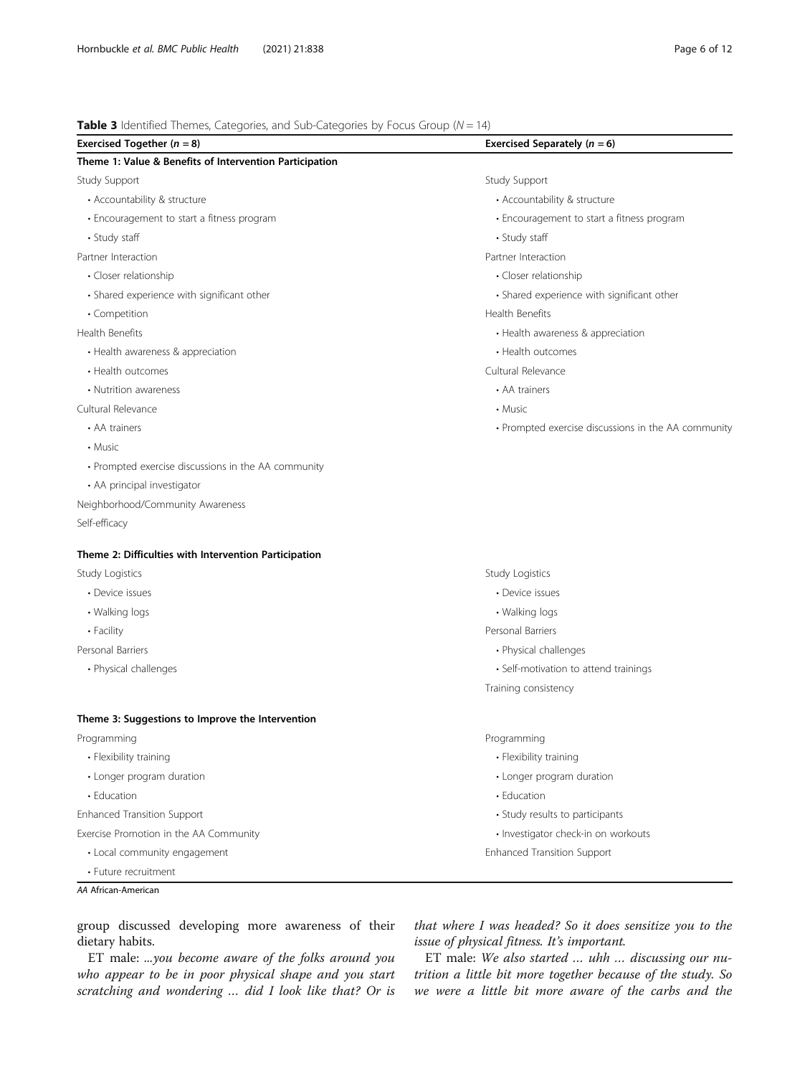# <span id="page-5-0"></span>**Table 3** Identified Themes, Categories, and Sub-Categories by Focus Group ( $N = 14$ )

| Exercised Together ( $n = 8$ )                          | Exercised Separately ( $n = 6$ )                    |  |
|---------------------------------------------------------|-----------------------------------------------------|--|
| Theme 1: Value & Benefits of Intervention Participation |                                                     |  |
| Study Support                                           | Study Support                                       |  |
| • Accountability & structure                            | • Accountability & structure                        |  |
| • Encouragement to start a fitness program              | • Encouragement to start a fitness program          |  |
| • Study staff                                           | • Study staff                                       |  |
| Partner Interaction                                     | Partner Interaction                                 |  |
| • Closer relationship                                   | • Closer relationship                               |  |
| • Shared experience with significant other              | • Shared experience with significant other          |  |
| · Competition                                           | Health Benefits                                     |  |
| Health Benefits                                         | • Health awareness & appreciation                   |  |
| • Health awareness & appreciation                       | • Health outcomes                                   |  |
| • Health outcomes                                       | Cultural Relevance                                  |  |
| • Nutrition awareness                                   | • AA trainers                                       |  |
| Cultural Relevance                                      | • Music                                             |  |
| • AA trainers                                           | • Prompted exercise discussions in the AA community |  |
| • Music                                                 |                                                     |  |
| • Prompted exercise discussions in the AA community     |                                                     |  |
| • AA principal investigator                             |                                                     |  |
| Neighborhood/Community Awareness                        |                                                     |  |
| Self-efficacy                                           |                                                     |  |
| Theme 2: Difficulties with Intervention Participation   |                                                     |  |
| <b>Study Logistics</b>                                  | Study Logistics                                     |  |
| • Device issues                                         | • Device issues                                     |  |
| • Walking logs                                          | • Walking logs                                      |  |
| • Facility                                              | Personal Barriers                                   |  |
| Personal Barriers                                       | • Physical challenges                               |  |
| • Physical challenges                                   | • Self-motivation to attend trainings               |  |
|                                                         | Training consistency                                |  |
| Theme 3: Suggestions to Improve the Intervention        |                                                     |  |
| Programming                                             | Programming                                         |  |
| • Flexibility training                                  | • Flexibility training                              |  |
| • Longer program duration                               | • Longer program duration                           |  |
| • Education                                             | • Education                                         |  |
| <b>Enhanced Transition Support</b>                      | • Study results to participants                     |  |
| Exercise Promotion in the AA Community                  | · Investigator check-in on workouts                 |  |
| • Local community engagement                            | <b>Enhanced Transition Support</b>                  |  |
| • Future recruitment                                    |                                                     |  |
| AA African-American                                     |                                                     |  |

group discussed developing more awareness of their dietary habits.

ET male: ...you become aware of the folks around you who appear to be in poor physical shape and you start scratching and wondering … did I look like that? Or is that where I was headed? So it does sensitize you to the issue of physical fitness. It's important.

ET male: We also started … uhh … discussing our nutrition a little bit more together because of the study. So we were a little bit more aware of the carbs and the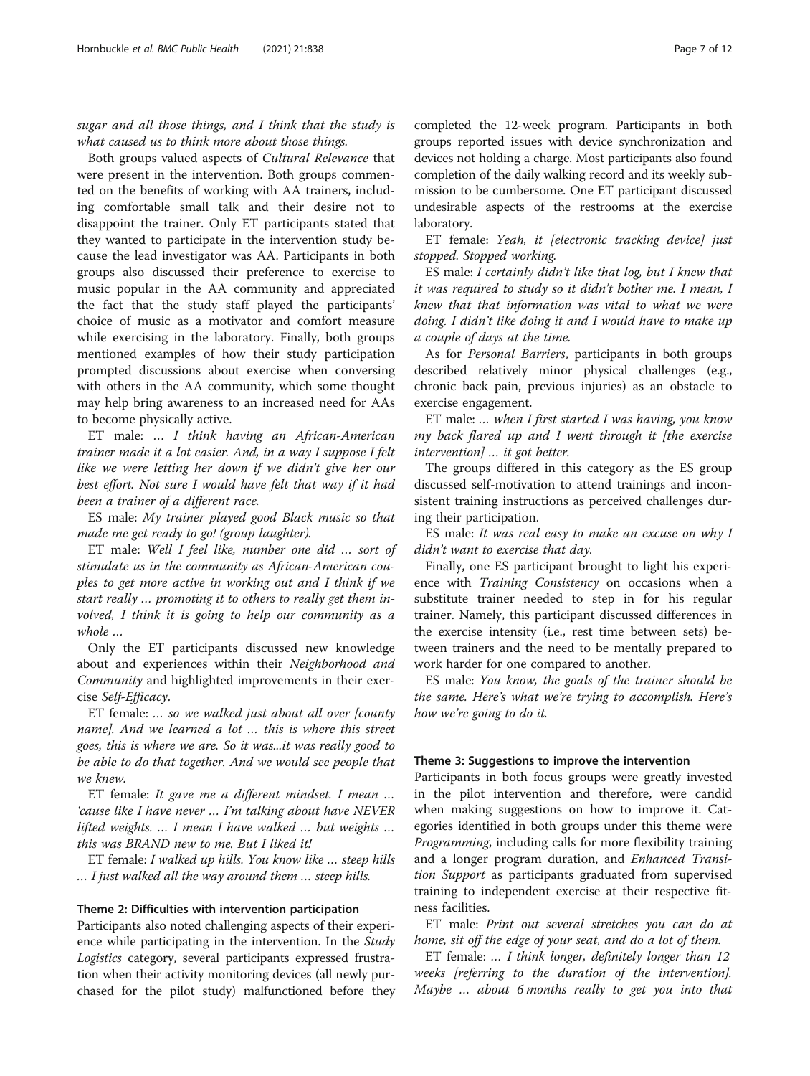sugar and all those things, and I think that the study is what caused us to think more about those things.

Both groups valued aspects of Cultural Relevance that were present in the intervention. Both groups commented on the benefits of working with AA trainers, including comfortable small talk and their desire not to disappoint the trainer. Only ET participants stated that they wanted to participate in the intervention study because the lead investigator was AA. Participants in both groups also discussed their preference to exercise to music popular in the AA community and appreciated the fact that the study staff played the participants' choice of music as a motivator and comfort measure while exercising in the laboratory. Finally, both groups mentioned examples of how their study participation prompted discussions about exercise when conversing with others in the AA community, which some thought may help bring awareness to an increased need for AAs to become physically active.

ET male: … I think having an African-American trainer made it a lot easier. And, in a way I suppose I felt like we were letting her down if we didn't give her our best effort. Not sure I would have felt that way if it had been a trainer of a different race.

ES male: My trainer played good Black music so that made me get ready to go! (group laughter).

ET male: Well I feel like, number one did … sort of stimulate us in the community as African-American couples to get more active in working out and I think if we start really … promoting it to others to really get them involved, I think it is going to help our community as a whole …

Only the ET participants discussed new knowledge about and experiences within their Neighborhood and Community and highlighted improvements in their exercise Self-Efficacy.

ET female: ... so we walked just about all over [county name]. And we learned a lot … this is where this street goes, this is where we are. So it was...it was really good to be able to do that together. And we would see people that we knew.

ET female: It gave me a different mindset. I mean … 'cause like I have never … I'm talking about have NEVER lifted weights. … I mean I have walked … but weights … this was BRAND new to me. But I liked it!

ET female: I walked up hills. You know like … steep hills … I just walked all the way around them … steep hills.

# Theme 2: Difficulties with intervention participation

Participants also noted challenging aspects of their experience while participating in the intervention. In the *Study* Logistics category, several participants expressed frustration when their activity monitoring devices (all newly purchased for the pilot study) malfunctioned before they completed the 12-week program. Participants in both groups reported issues with device synchronization and devices not holding a charge. Most participants also found completion of the daily walking record and its weekly submission to be cumbersome. One ET participant discussed undesirable aspects of the restrooms at the exercise laboratory.

ET female: Yeah, it [electronic tracking device] just stopped. Stopped working.

ES male: I certainly didn't like that log, but I knew that it was required to study so it didn't bother me. I mean, I knew that that information was vital to what we were doing. I didn't like doing it and I would have to make up a couple of days at the time.

As for Personal Barriers, participants in both groups described relatively minor physical challenges (e.g., chronic back pain, previous injuries) as an obstacle to exercise engagement.

ET male: … when I first started I was having, you know my back flared up and I went through it [the exercise intervention] … it got better.

The groups differed in this category as the ES group discussed self-motivation to attend trainings and inconsistent training instructions as perceived challenges during their participation.

ES male: It was real easy to make an excuse on why I didn't want to exercise that day.

Finally, one ES participant brought to light his experience with *Training Consistency* on occasions when a substitute trainer needed to step in for his regular trainer. Namely, this participant discussed differences in the exercise intensity (i.e., rest time between sets) between trainers and the need to be mentally prepared to work harder for one compared to another.

ES male: You know, the goals of the trainer should be the same. Here's what we're trying to accomplish. Here's how we're going to do it.

# Theme 3: Suggestions to improve the intervention

Participants in both focus groups were greatly invested in the pilot intervention and therefore, were candid when making suggestions on how to improve it. Categories identified in both groups under this theme were Programming, including calls for more flexibility training and a longer program duration, and Enhanced Transition Support as participants graduated from supervised training to independent exercise at their respective fitness facilities.

ET male: Print out several stretches you can do at home, sit off the edge of your seat, and do a lot of them.

ET female: … I think longer, definitely longer than 12 weeks [referring to the duration of the intervention]. Maybe … about 6 months really to get you into that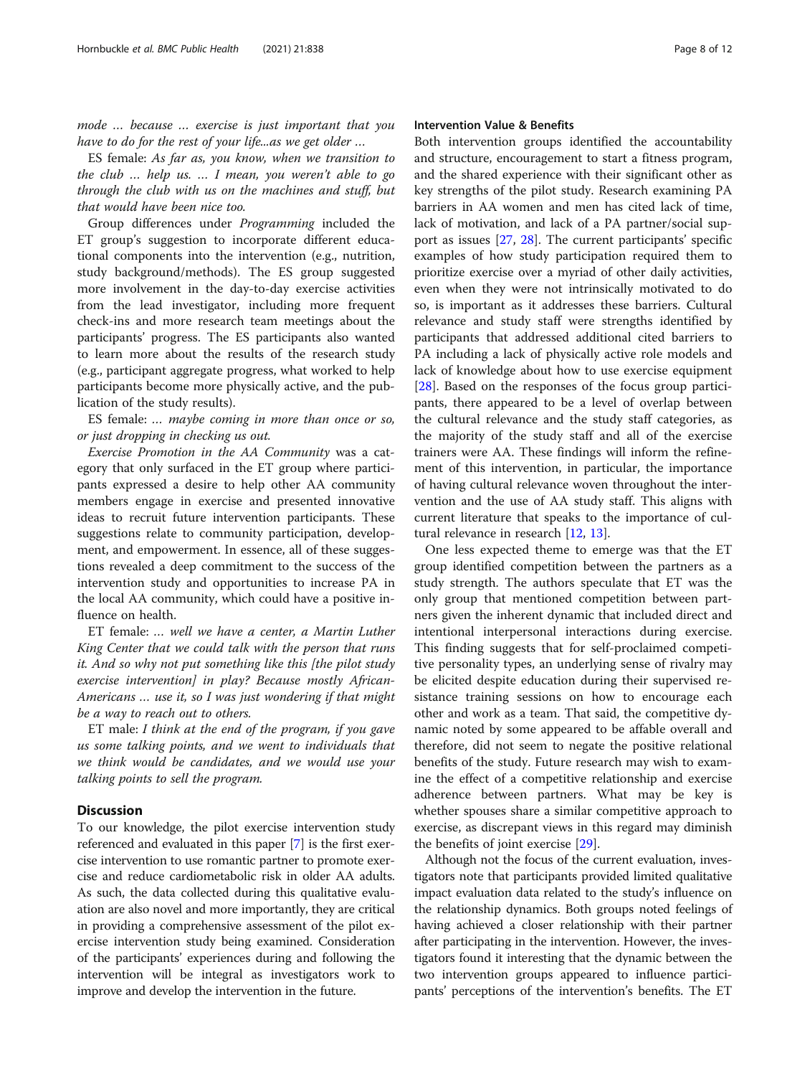mode … because … exercise is just important that you have to do for the rest of your life...as we get older …

ES female: As far as, you know, when we transition to the club … help us. … I mean, you weren't able to go through the club with us on the machines and stuff, but that would have been nice too.

Group differences under Programming included the ET group's suggestion to incorporate different educational components into the intervention (e.g., nutrition, study background/methods). The ES group suggested more involvement in the day-to-day exercise activities from the lead investigator, including more frequent check-ins and more research team meetings about the participants' progress. The ES participants also wanted to learn more about the results of the research study (e.g., participant aggregate progress, what worked to help participants become more physically active, and the publication of the study results).

ES female: … maybe coming in more than once or so, or just dropping in checking us out.

Exercise Promotion in the AA Community was a category that only surfaced in the ET group where participants expressed a desire to help other AA community members engage in exercise and presented innovative ideas to recruit future intervention participants. These suggestions relate to community participation, development, and empowerment. In essence, all of these suggestions revealed a deep commitment to the success of the intervention study and opportunities to increase PA in the local AA community, which could have a positive influence on health.

ET female: … well we have a center, a Martin Luther King Center that we could talk with the person that runs it. And so why not put something like this [the pilot study exercise intervention] in play? Because mostly African-Americans … use it, so I was just wondering if that might be a way to reach out to others.

ET male: I think at the end of the program, if you gave us some talking points, and we went to individuals that we think would be candidates, and we would use your talking points to sell the program.

# **Discussion**

To our knowledge, the pilot exercise intervention study referenced and evaluated in this paper [\[7\]](#page-10-0) is the first exercise intervention to use romantic partner to promote exercise and reduce cardiometabolic risk in older AA adults. As such, the data collected during this qualitative evaluation are also novel and more importantly, they are critical in providing a comprehensive assessment of the pilot exercise intervention study being examined. Consideration of the participants' experiences during and following the intervention will be integral as investigators work to improve and develop the intervention in the future.

# Intervention Value & Benefits

Both intervention groups identified the accountability and structure, encouragement to start a fitness program, and the shared experience with their significant other as key strengths of the pilot study. Research examining PA barriers in AA women and men has cited lack of time, lack of motivation, and lack of a PA partner/social support as issues [\[27](#page-11-0), [28\]](#page-11-0). The current participants' specific examples of how study participation required them to prioritize exercise over a myriad of other daily activities, even when they were not intrinsically motivated to do so, is important as it addresses these barriers. Cultural relevance and study staff were strengths identified by participants that addressed additional cited barriers to PA including a lack of physically active role models and lack of knowledge about how to use exercise equipment [[28\]](#page-11-0). Based on the responses of the focus group participants, there appeared to be a level of overlap between the cultural relevance and the study staff categories, as the majority of the study staff and all of the exercise trainers were AA. These findings will inform the refinement of this intervention, in particular, the importance of having cultural relevance woven throughout the intervention and the use of AA study staff. This aligns with current literature that speaks to the importance of cultural relevance in research [[12,](#page-11-0) [13\]](#page-11-0).

One less expected theme to emerge was that the ET group identified competition between the partners as a study strength. The authors speculate that ET was the only group that mentioned competition between partners given the inherent dynamic that included direct and intentional interpersonal interactions during exercise. This finding suggests that for self-proclaimed competitive personality types, an underlying sense of rivalry may be elicited despite education during their supervised resistance training sessions on how to encourage each other and work as a team. That said, the competitive dynamic noted by some appeared to be affable overall and therefore, did not seem to negate the positive relational benefits of the study. Future research may wish to examine the effect of a competitive relationship and exercise adherence between partners. What may be key is whether spouses share a similar competitive approach to exercise, as discrepant views in this regard may diminish the benefits of joint exercise [\[29](#page-11-0)].

Although not the focus of the current evaluation, investigators note that participants provided limited qualitative impact evaluation data related to the study's influence on the relationship dynamics. Both groups noted feelings of having achieved a closer relationship with their partner after participating in the intervention. However, the investigators found it interesting that the dynamic between the two intervention groups appeared to influence participants' perceptions of the intervention's benefits. The ET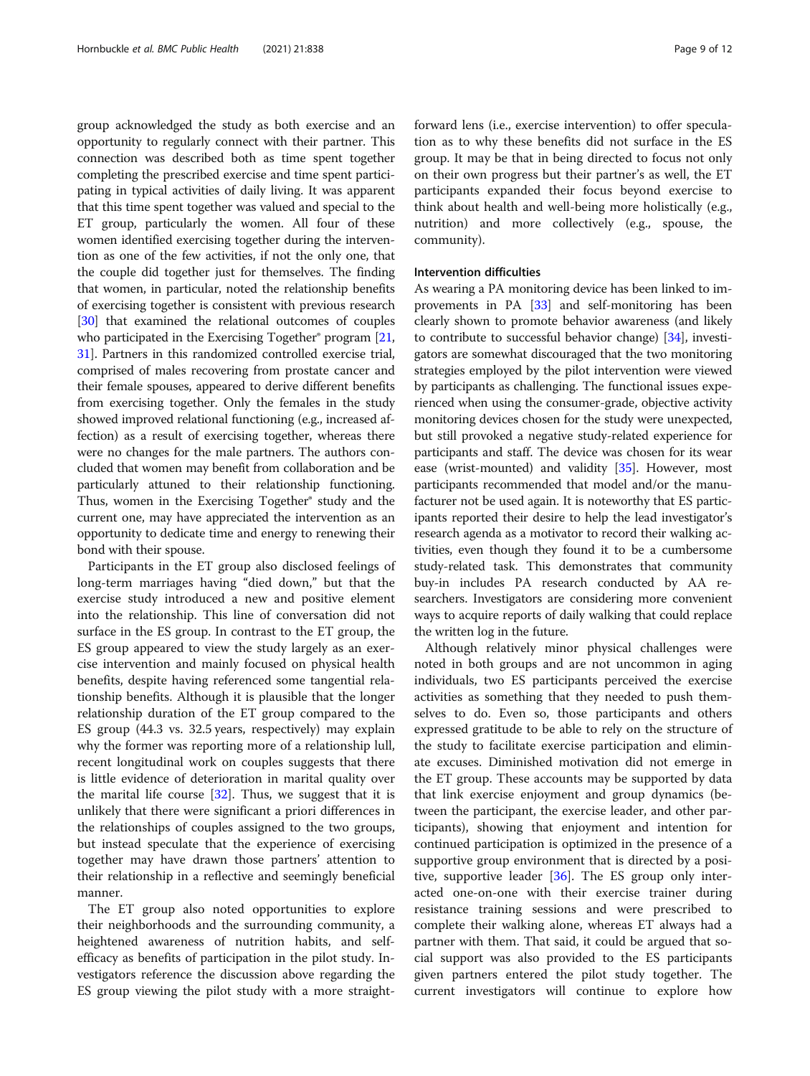group acknowledged the study as both exercise and an opportunity to regularly connect with their partner. This connection was described both as time spent together completing the prescribed exercise and time spent participating in typical activities of daily living. It was apparent that this time spent together was valued and special to the ET group, particularly the women. All four of these women identified exercising together during the intervention as one of the few activities, if not the only one, that the couple did together just for themselves. The finding that women, in particular, noted the relationship benefits of exercising together is consistent with previous research [[30](#page-11-0)] that examined the relational outcomes of couples who participated in the Exercising Together® program [[21](#page-11-0), [31](#page-11-0)]. Partners in this randomized controlled exercise trial, comprised of males recovering from prostate cancer and their female spouses, appeared to derive different benefits from exercising together. Only the females in the study showed improved relational functioning (e.g., increased affection) as a result of exercising together, whereas there were no changes for the male partners. The authors concluded that women may benefit from collaboration and be particularly attuned to their relationship functioning. Thus, women in the Exercising Together® study and the current one, may have appreciated the intervention as an opportunity to dedicate time and energy to renewing their bond with their spouse.

Participants in the ET group also disclosed feelings of long-term marriages having "died down," but that the exercise study introduced a new and positive element into the relationship. This line of conversation did not surface in the ES group. In contrast to the ET group, the ES group appeared to view the study largely as an exercise intervention and mainly focused on physical health benefits, despite having referenced some tangential relationship benefits. Although it is plausible that the longer relationship duration of the ET group compared to the ES group (44.3 vs. 32.5 years, respectively) may explain why the former was reporting more of a relationship lull, recent longitudinal work on couples suggests that there is little evidence of deterioration in marital quality over the marital life course  $[32]$  $[32]$  $[32]$ . Thus, we suggest that it is unlikely that there were significant a priori differences in the relationships of couples assigned to the two groups, but instead speculate that the experience of exercising together may have drawn those partners' attention to their relationship in a reflective and seemingly beneficial manner.

The ET group also noted opportunities to explore their neighborhoods and the surrounding community, a heightened awareness of nutrition habits, and selfefficacy as benefits of participation in the pilot study. Investigators reference the discussion above regarding the ES group viewing the pilot study with a more straightforward lens (i.e., exercise intervention) to offer speculation as to why these benefits did not surface in the ES group. It may be that in being directed to focus not only on their own progress but their partner's as well, the ET participants expanded their focus beyond exercise to think about health and well-being more holistically (e.g., nutrition) and more collectively (e.g., spouse, the community).

# Intervention difficulties

As wearing a PA monitoring device has been linked to improvements in PA [\[33\]](#page-11-0) and self-monitoring has been clearly shown to promote behavior awareness (and likely to contribute to successful behavior change) [\[34\]](#page-11-0), investigators are somewhat discouraged that the two monitoring strategies employed by the pilot intervention were viewed by participants as challenging. The functional issues experienced when using the consumer-grade, objective activity monitoring devices chosen for the study were unexpected, but still provoked a negative study-related experience for participants and staff. The device was chosen for its wear ease (wrist-mounted) and validity [\[35\]](#page-11-0). However, most participants recommended that model and/or the manufacturer not be used again. It is noteworthy that ES participants reported their desire to help the lead investigator's research agenda as a motivator to record their walking activities, even though they found it to be a cumbersome study-related task. This demonstrates that community buy-in includes PA research conducted by AA researchers. Investigators are considering more convenient ways to acquire reports of daily walking that could replace the written log in the future.

Although relatively minor physical challenges were noted in both groups and are not uncommon in aging individuals, two ES participants perceived the exercise activities as something that they needed to push themselves to do. Even so, those participants and others expressed gratitude to be able to rely on the structure of the study to facilitate exercise participation and eliminate excuses. Diminished motivation did not emerge in the ET group. These accounts may be supported by data that link exercise enjoyment and group dynamics (between the participant, the exercise leader, and other participants), showing that enjoyment and intention for continued participation is optimized in the presence of a supportive group environment that is directed by a positive, supportive leader [\[36](#page-11-0)]. The ES group only interacted one-on-one with their exercise trainer during resistance training sessions and were prescribed to complete their walking alone, whereas ET always had a partner with them. That said, it could be argued that social support was also provided to the ES participants given partners entered the pilot study together. The current investigators will continue to explore how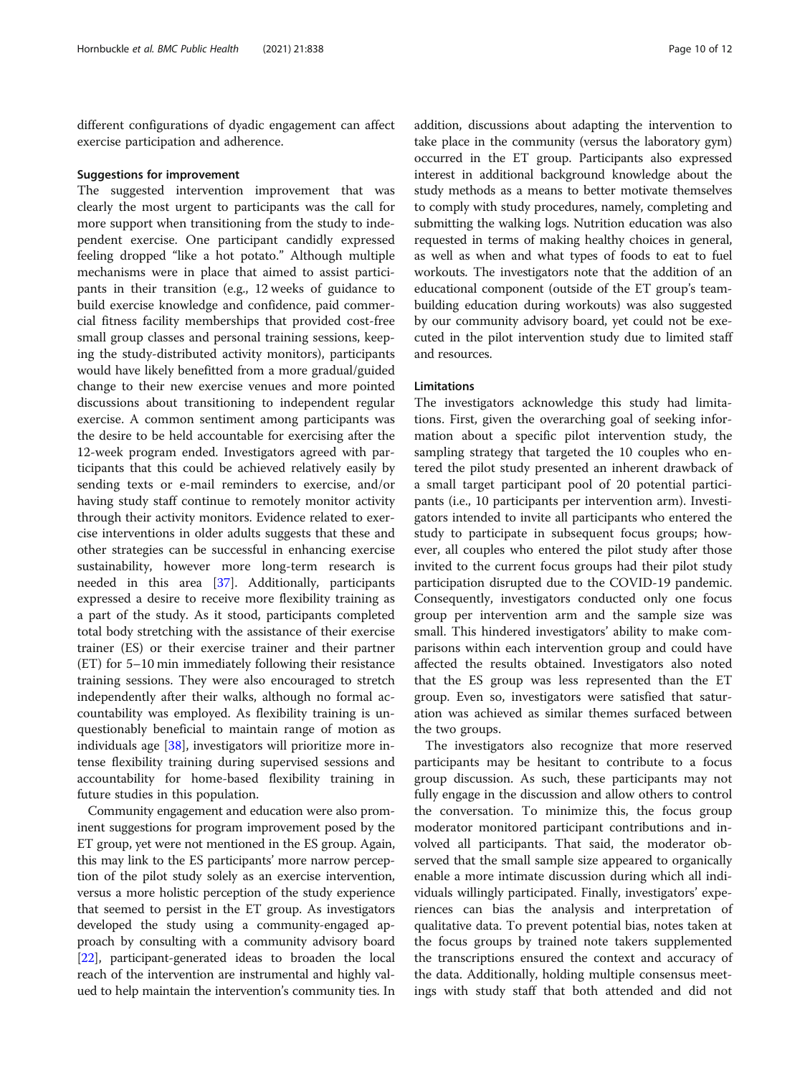different configurations of dyadic engagement can affect exercise participation and adherence.

#### Suggestions for improvement

The suggested intervention improvement that was clearly the most urgent to participants was the call for more support when transitioning from the study to independent exercise. One participant candidly expressed feeling dropped "like a hot potato." Although multiple mechanisms were in place that aimed to assist participants in their transition (e.g., 12 weeks of guidance to build exercise knowledge and confidence, paid commercial fitness facility memberships that provided cost-free small group classes and personal training sessions, keeping the study-distributed activity monitors), participants would have likely benefitted from a more gradual/guided change to their new exercise venues and more pointed discussions about transitioning to independent regular exercise. A common sentiment among participants was the desire to be held accountable for exercising after the 12-week program ended. Investigators agreed with participants that this could be achieved relatively easily by sending texts or e-mail reminders to exercise, and/or having study staff continue to remotely monitor activity through their activity monitors. Evidence related to exercise interventions in older adults suggests that these and other strategies can be successful in enhancing exercise sustainability, however more long-term research is needed in this area [[37](#page-11-0)]. Additionally, participants expressed a desire to receive more flexibility training as a part of the study. As it stood, participants completed total body stretching with the assistance of their exercise trainer (ES) or their exercise trainer and their partner (ET) for 5–10 min immediately following their resistance training sessions. They were also encouraged to stretch independently after their walks, although no formal accountability was employed. As flexibility training is unquestionably beneficial to maintain range of motion as individuals age [[38\]](#page-11-0), investigators will prioritize more intense flexibility training during supervised sessions and accountability for home-based flexibility training in future studies in this population.

Community engagement and education were also prominent suggestions for program improvement posed by the ET group, yet were not mentioned in the ES group. Again, this may link to the ES participants' more narrow perception of the pilot study solely as an exercise intervention, versus a more holistic perception of the study experience that seemed to persist in the ET group. As investigators developed the study using a community-engaged approach by consulting with a community advisory board [[22](#page-11-0)], participant-generated ideas to broaden the local reach of the intervention are instrumental and highly valued to help maintain the intervention's community ties. In

addition, discussions about adapting the intervention to take place in the community (versus the laboratory gym) occurred in the ET group. Participants also expressed interest in additional background knowledge about the study methods as a means to better motivate themselves to comply with study procedures, namely, completing and submitting the walking logs. Nutrition education was also requested in terms of making healthy choices in general, as well as when and what types of foods to eat to fuel workouts. The investigators note that the addition of an educational component (outside of the ET group's teambuilding education during workouts) was also suggested by our community advisory board, yet could not be executed in the pilot intervention study due to limited staff and resources.

# Limitations

The investigators acknowledge this study had limitations. First, given the overarching goal of seeking information about a specific pilot intervention study, the sampling strategy that targeted the 10 couples who entered the pilot study presented an inherent drawback of a small target participant pool of 20 potential participants (i.e., 10 participants per intervention arm). Investigators intended to invite all participants who entered the study to participate in subsequent focus groups; however, all couples who entered the pilot study after those invited to the current focus groups had their pilot study participation disrupted due to the COVID-19 pandemic. Consequently, investigators conducted only one focus group per intervention arm and the sample size was small. This hindered investigators' ability to make comparisons within each intervention group and could have affected the results obtained. Investigators also noted that the ES group was less represented than the ET group. Even so, investigators were satisfied that saturation was achieved as similar themes surfaced between the two groups.

The investigators also recognize that more reserved participants may be hesitant to contribute to a focus group discussion. As such, these participants may not fully engage in the discussion and allow others to control the conversation. To minimize this, the focus group moderator monitored participant contributions and involved all participants. That said, the moderator observed that the small sample size appeared to organically enable a more intimate discussion during which all individuals willingly participated. Finally, investigators' experiences can bias the analysis and interpretation of qualitative data. To prevent potential bias, notes taken at the focus groups by trained note takers supplemented the transcriptions ensured the context and accuracy of the data. Additionally, holding multiple consensus meetings with study staff that both attended and did not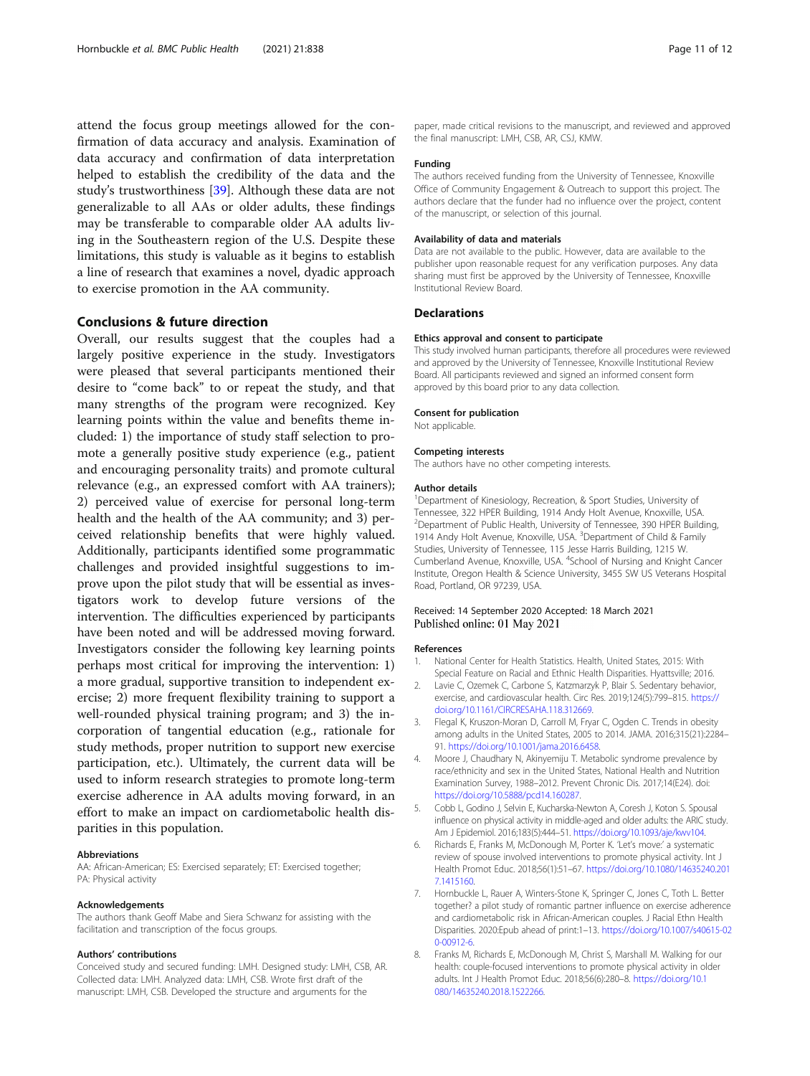<span id="page-10-0"></span>attend the focus group meetings allowed for the confirmation of data accuracy and analysis. Examination of data accuracy and confirmation of data interpretation helped to establish the credibility of the data and the study's trustworthiness [[39\]](#page-11-0). Although these data are not generalizable to all AAs or older adults, these findings may be transferable to comparable older AA adults living in the Southeastern region of the U.S. Despite these limitations, this study is valuable as it begins to establish a line of research that examines a novel, dyadic approach to exercise promotion in the AA community.

# Conclusions & future direction

Overall, our results suggest that the couples had a largely positive experience in the study. Investigators were pleased that several participants mentioned their desire to "come back" to or repeat the study, and that many strengths of the program were recognized. Key learning points within the value and benefits theme included: 1) the importance of study staff selection to promote a generally positive study experience (e.g., patient and encouraging personality traits) and promote cultural relevance (e.g., an expressed comfort with AA trainers); 2) perceived value of exercise for personal long-term health and the health of the AA community; and 3) perceived relationship benefits that were highly valued. Additionally, participants identified some programmatic challenges and provided insightful suggestions to improve upon the pilot study that will be essential as investigators work to develop future versions of the intervention. The difficulties experienced by participants have been noted and will be addressed moving forward. Investigators consider the following key learning points perhaps most critical for improving the intervention: 1) a more gradual, supportive transition to independent exercise; 2) more frequent flexibility training to support a well-rounded physical training program; and 3) the incorporation of tangential education (e.g., rationale for study methods, proper nutrition to support new exercise participation, etc.). Ultimately, the current data will be used to inform research strategies to promote long-term exercise adherence in AA adults moving forward, in an effort to make an impact on cardiometabolic health disparities in this population.

#### Abbreviations

AA: African-American; ES: Exercised separately; ET: Exercised together; PA: Physical activity

#### Acknowledgements

The authors thank Geoff Mabe and Siera Schwanz for assisting with the facilitation and transcription of the focus groups.

#### Authors' contributions

Conceived study and secured funding: LMH. Designed study: LMH, CSB, AR. Collected data: LMH. Analyzed data: LMH, CSB. Wrote first draft of the manuscript: LMH, CSB. Developed the structure and arguments for the

paper, made critical revisions to the manuscript, and reviewed and approved the final manuscript: LMH, CSB, AR, CSJ, KMW.

# Funding

The authors received funding from the University of Tennessee, Knoxville Office of Community Engagement & Outreach to support this project. The authors declare that the funder had no influence over the project, content of the manuscript, or selection of this journal.

#### Availability of data and materials

Data are not available to the public. However, data are available to the publisher upon reasonable request for any verification purposes. Any data sharing must first be approved by the University of Tennessee, Knoxville Institutional Review Board.

# **Declarations**

#### Ethics approval and consent to participate

This study involved human participants, therefore all procedures were reviewed and approved by the University of Tennessee, Knoxville Institutional Review Board. All participants reviewed and signed an informed consent form approved by this board prior to any data collection.

#### Consent for publication

Not applicable.

#### Competing interests

The authors have no other competing interests.

#### Author details

<sup>1</sup>Department of Kinesiology, Recreation, & Sport Studies, University of Tennessee, 322 HPER Building, 1914 Andy Holt Avenue, Knoxville, USA. <sup>2</sup>Department of Public Health, University of Tennessee, 390 HPER Building, 1914 Andy Holt Avenue, Knoxville, USA. <sup>3</sup>Department of Child & Family Studies, University of Tennessee, 115 Jesse Harris Building, 1215 W. Cumberland Avenue, Knoxville, USA. <sup>4</sup> School of Nursing and Knight Cancer Institute, Oregon Health & Science University, 3455 SW US Veterans Hospital Road, Portland, OR 97239, USA.

# Received: 14 September 2020 Accepted: 18 March 2021 Published online: 01 May 2021

#### References

- 1. National Center for Health Statistics. Health, United States, 2015: With Special Feature on Racial and Ethnic Health Disparities. Hyattsville; 2016.
- 2. Lavie C, Ozemek C, Carbone S, Katzmarzyk P, Blair S. Sedentary behavior, exercise, and cardiovascular health. Circ Res. 2019;124(5):799–815. [https://](https://doi.org/10.1161/CIRCRESAHA.118.312669) [doi.org/10.1161/CIRCRESAHA.118.312669](https://doi.org/10.1161/CIRCRESAHA.118.312669).
- 3. Flegal K, Kruszon-Moran D, Carroll M, Fryar C, Ogden C. Trends in obesity among adults in the United States, 2005 to 2014. JAMA. 2016;315(21):2284– 91. <https://doi.org/10.1001/jama.2016.6458>.
- 4. Moore J, Chaudhary N, Akinyemiju T. Metabolic syndrome prevalence by race/ethnicity and sex in the United States, National Health and Nutrition Examination Survey, 1988–2012. Prevent Chronic Dis. 2017;14(E24). doi: <https://doi.org/10.5888/pcd14.160287>.
- 5. Cobb L, Godino J, Selvin E, Kucharska-Newton A, Coresh J, Koton S. Spousal influence on physical activity in middle-aged and older adults: the ARIC study. Am J Epidemiol. 2016;183(5):444–51. [https://doi.org/10.1093/aje/kwv104.](https://doi.org/10.1093/aje/kwv104)
- Richards E, Franks M, McDonough M, Porter K. 'Let's move:' a systematic review of spouse involved interventions to promote physical activity. Int J Health Promot Educ. 2018;56(1):51–67. [https://doi.org/10.1080/14635240.201](https://doi.org/10.1080/14635240.2017.1415160) [7.1415160](https://doi.org/10.1080/14635240.2017.1415160).
- 7. Hornbuckle L, Rauer A, Winters-Stone K, Springer C, Jones C, Toth L. Better together? a pilot study of romantic partner influence on exercise adherence and cardiometabolic risk in African-American couples. J Racial Ethn Health Disparities. 2020:Epub ahead of print:1–13. [https://doi.org/10.1007/s40615-02](https://doi.org/10.1007/s40615-020-00912-6) [0-00912-6.](https://doi.org/10.1007/s40615-020-00912-6)
- 8. Franks M, Richards E, McDonough M, Christ S, Marshall M. Walking for our health: couple-focused interventions to promote physical activity in older adults. Int J Health Promot Educ. 2018;56(6):280–8. [https://doi.org/10.1](https://doi.org/10.1080/14635240.2018.1522266) [080/14635240.2018.1522266.](https://doi.org/10.1080/14635240.2018.1522266)